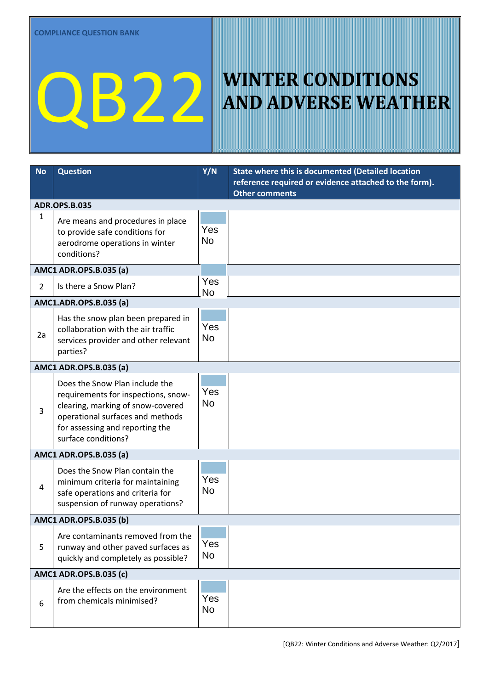## QB222 MINTER CONDITIONS

## **AND ADVERSE WEATHER**

| <b>No</b>              | <b>Question</b>                                                                                                                                                                                          | Y/N              | State where this is documented (Detailed location                              |  |
|------------------------|----------------------------------------------------------------------------------------------------------------------------------------------------------------------------------------------------------|------------------|--------------------------------------------------------------------------------|--|
|                        |                                                                                                                                                                                                          |                  | reference required or evidence attached to the form).<br><b>Other comments</b> |  |
| <b>ADR.OPS.B.035</b>   |                                                                                                                                                                                                          |                  |                                                                                |  |
| $\mathbf{1}$           | Are means and procedures in place<br>to provide safe conditions for<br>aerodrome operations in winter<br>conditions?                                                                                     | Yes<br><b>No</b> |                                                                                |  |
| AMC1 ADR.OPS.B.035 (a) |                                                                                                                                                                                                          |                  |                                                                                |  |
| $\overline{2}$         | Is there a Snow Plan?                                                                                                                                                                                    | Yes<br><b>No</b> |                                                                                |  |
| AMC1.ADR.OPS.B.035 (a) |                                                                                                                                                                                                          |                  |                                                                                |  |
| 2a                     | Has the snow plan been prepared in<br>collaboration with the air traffic<br>services provider and other relevant<br>parties?                                                                             | Yes<br><b>No</b> |                                                                                |  |
|                        | AMC1 ADR.OPS.B.035 (a)                                                                                                                                                                                   |                  |                                                                                |  |
| 3                      | Does the Snow Plan include the<br>requirements for inspections, snow-<br>clearing, marking of snow-covered<br>operational surfaces and methods<br>for assessing and reporting the<br>surface conditions? | Yes<br><b>No</b> |                                                                                |  |
| AMC1 ADR.OPS.B.035 (a) |                                                                                                                                                                                                          |                  |                                                                                |  |
| $\overline{4}$         | Does the Snow Plan contain the<br>minimum criteria for maintaining<br>safe operations and criteria for<br>suspension of runway operations?                                                               | Yes<br><b>No</b> |                                                                                |  |
| AMC1 ADR.OPS.B.035 (b) |                                                                                                                                                                                                          |                  |                                                                                |  |
| 5                      | Are contaminants removed from the<br>runway and other paved surfaces as<br>quickly and completely as possible?                                                                                           | Yes<br>No        |                                                                                |  |
| AMC1 ADR.OPS.B.035 (c) |                                                                                                                                                                                                          |                  |                                                                                |  |
| 6                      | Are the effects on the environment<br>from chemicals minimised?                                                                                                                                          | Yes<br>No        |                                                                                |  |